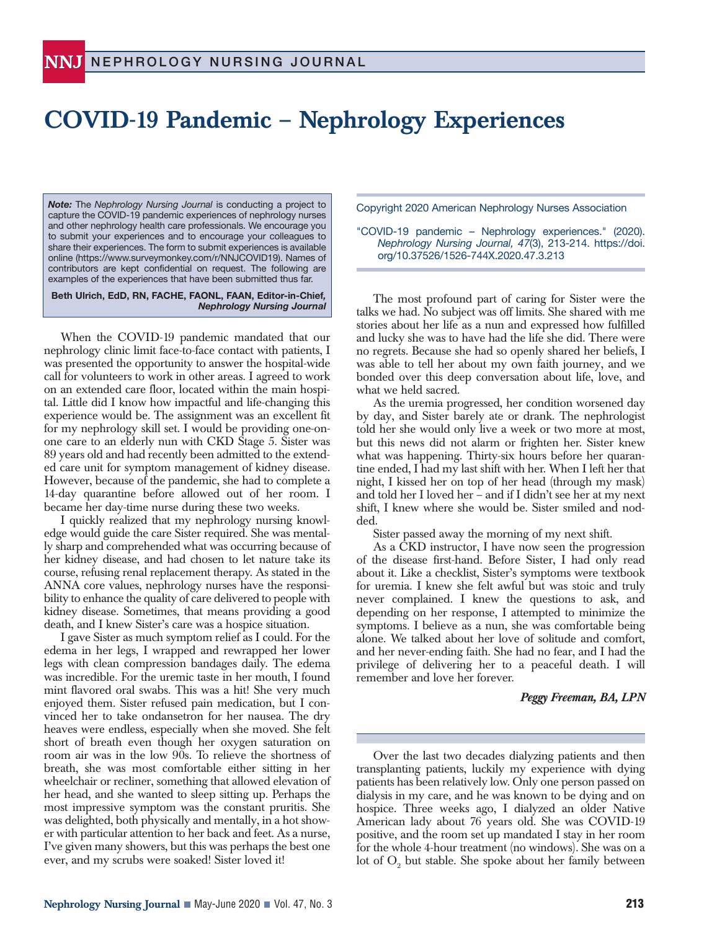## **COVID-19 Pandemic – Nephrology Experiences**

*Note:* The *Nephrology Nursing Journal* is conducting a project to capture the COVID-19 pandemic experiences of nephrology nurses and other nephrology health care professionals. We encourage you to submit your experiences and to encourage your colleagues to share their experiences. The form to submit experiences is available online (https://www.surveymonkey.com/r/NNJCOVID19). Names of contributors are kept confidential on request. The following are examples of the experiences that have been submitted thus far.

**Beth Ulrich, EdD, RN, FACHE, FAONL, FAAN, Editor-in-Chief***, Nephrology Nursing Journal*

When the COVID-19 pandemic mandated that our nephrology clinic limit face-to-face contact with patients, I was presented the opportunity to answer the hospital-wide call for volunteers to work in other areas. I agreed to work on an extended care floor, located within the main hospital. Little did I know how impactful and life-changing this experience would be. The assignment was an excellent fit for my nephrology skill set. I would be providing one-onone care to an elderly nun with CKD Stage 5. Sister was 89 years old and had recently been admitted to the extended care unit for symptom management of kidney disease. However, because of the pandemic, she had to complete a 14-day quarantine before allowed out of her room. I became her day-time nurse during these two weeks.

I quickly realized that my nephrology nursing knowledge would guide the care Sister required. She was mentally sharp and comprehended what was occurring because of her kidney disease, and had chosen to let nature take its course, refusing renal replacement therapy. As stated in the ANNA core values, nephrology nurses have the responsibility to enhance the quality of care delivered to people with kidney disease. Sometimes, that means providing a good death, and I knew Sister's care was a hospice situation.

I gave Sister as much symptom relief as I could. For the edema in her legs, I wrapped and rewrapped her lower legs with clean compression bandages daily. The edema was incredible. For the uremic taste in her mouth, I found mint flavored oral swabs. This was a hit! She very much enjoyed them. Sister refused pain medication, but I convinced her to take ondansetron for her nausea. The dry heaves were endless, especially when she moved. She felt short of breath even though her oxygen saturation on room air was in the low 90s. To relieve the shortness of breath, she was most comfortable either sitting in her wheelchair or recliner, something that allowed elevation of her head, and she wanted to sleep sitting up. Perhaps the most impressive symptom was the constant pruritis. She was delighted, both physically and mentally, in a hot shower with particular attention to her back and feet. As a nurse, I've given many showers, but this was perhaps the best one ever, and my scrubs were soaked! Sister loved it!

Copyright 2020 American Nephrology Nurses Association

"COVID-19 pandemic – Nephrology experiences." (2020). *Nephrology Nursing Journal, 47*(3), 213-214. https://doi. org/10.37526/1526-744X.2020.47.3.213

The most profound part of caring for Sister were the talks we had. No subject was off limits. She shared with me stories about her life as a nun and expressed how fulfilled and lucky she was to have had the life she did. There were no regrets. Because she had so openly shared her beliefs, I was able to tell her about my own faith journey, and we bonded over this deep conversation about life, love, and what we held sacred.

As the uremia progressed, her condition worsened day by day, and Sister barely ate or drank. The nephrologist told her she would only live a week or two more at most, but this news did not alarm or frighten her. Sister knew what was happening. Thirty-six hours before her quarantine ended, I had my last shift with her. When I left her that night, I kissed her on top of her head (through my mask) and told her I loved her – and if I didn't see her at my next shift, I knew where she would be. Sister smiled and nodded.

Sister passed away the morning of my next shift.

As a CKD instructor, I have now seen the progression of the disease first-hand. Before Sister, I had only read about it. Like a checklist, Sister's symptoms were textbook for uremia. I knew she felt awful but was stoic and truly never complained. I knew the questions to ask, and depending on her response, I attempted to minimize the symptoms. I believe as a nun, she was comfortable being alone. We talked about her love of solitude and comfort, and her never-ending faith. She had no fear, and I had the privilege of delivering her to a peaceful death. I will remember and love her forever.

## *Peggy Freeman, BA, LPN*

Over the last two decades dialyzing patients and then transplanting patients, luckily my experience with dying patients has been relatively low. Only one person passed on dialysis in my care, and he was known to be dying and on hospice. Three weeks ago, I dialyzed an older Native American lady about 76 years old. She was COVID-19 positive, and the room set up mandated I stay in her room for the whole 4-hour treatment (no windows). She was on a lot of  $\mathrm{O}_2$  but stable. She spoke about her family between